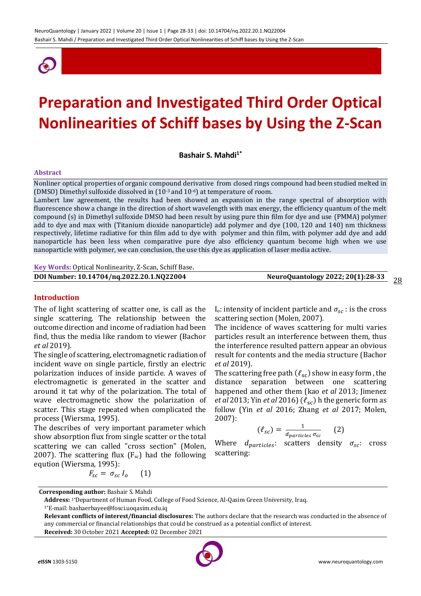

# **Preparation and Investigated Third Order Optical Nonlinearities of Schiff bases by Using the Z-Scan**

**Bashair S. Mahdi1\***

#### **Abstract**

Nonliner optical properties of organic compound derivative from closed rings compound had been studied melted in (DMSO) Dimethyl sulfoxide dissolved in  $(10^{-3}$  and  $10^{-6}$ ) at temperature of room.

Lambert law agreement, the results had been showed an expansion in the range spectral of absorption with fluorescence show a change in the direction of short wavelength with max energy, the efficiency quantum of the melt compound (s) in Dimethyl sulfoxide DMSO had been result by using pure thin film for dye and use (PMMA) polymer add to dye and max with (Titanium dioxide nanoparticle) add polymer and dye (100, 120 and 140) nm thickness respectively, lifetime radiative for thin film add to dye with polymer and thin film, with polymer add dye and add nanoparticle has been less when comparative pure dye also efficiency quantum become high when we use nanoparticle with polymer, we can conclusion, the use this dye as application of laser media active.

**Key Words:** Optical Nonlinearity, Z-Scan, Schiff Base.

| DOI Number: 10.14704/nq.2022.20.1.NQ22004 | NeuroQuantology 2022; 20(1):28-33<br>28 |  |
|-------------------------------------------|-----------------------------------------|--|
|                                           |                                         |  |

#### **Introduction**

The of light scattering of scatter one, is call as the single scattering. The relationship between the outcome direction and income of radiation had been find, thus the media like random to viewer (Bachor *et al* 2019).

The single of scattering, electromagnetic radiation of incident wave on single particle, firstly an electric polarization induces of inside particle. A waves of electromagnetic is generated in the scatter and around it tat why of the polarization. The total of wave electromagnetic show the polarization of scatter. This stage repeated when complicated the process (Wiersma, 1995).

The describes of very important parameter which show absorption flux from single scatter or the total scattering we can called "cross section" (Molen, 2007). The scattering flux  $(F_{sc})$  had the following eqution (Wiersma, 1995):

$$
F_{sc} = \sigma_{sc} I_o \qquad (1)
$$

I<sub>o</sub>: intensity of incident particle and  $\sigma_{sc}$ : is the cross scattering section (Molen, 2007).

The incidence of waves scattering for multi varies particles result an interference between them, thus the interference resulted pattern appear an obvious result for contents and the media structure (Bachor *et al* 2019).

The scattering free path  $(\ell_{\rm sc})$  show in easy form, the distance separation between one scattering happened and other them (kao *et al* 2013; Jimenez *et al* 2013; Yin *et al* 2016)  $(\ell_{sc})$  h the generic form as follow (Yin *et al* 2016; Zhang *et al* 2017; Molen, 2007):

$$
(\ell_{sc}) = \frac{1}{d_{particles} \sigma_{sc}} \qquad (2)
$$

Where  $d_{particles}$ : scatters density  $\sigma_{sc}$ : cross scattering:

1\*E-mail: bashaerbayee@fosci.uoqasim.edu.iq

**Relevant conflicts of interest/financial disclosures:** The authors declare that the research was conducted in the absence of any commercial or financial relationships that could be construed as a potential conflict of interest. **Received:** 30 October 2021 **Accepted:** 02 December 2021



**Corresponding author:** Bashair S. Mahdi

**Address:** 1\*Department of Human Food, College of Food Science, Al-Qasim Green University, Iraq.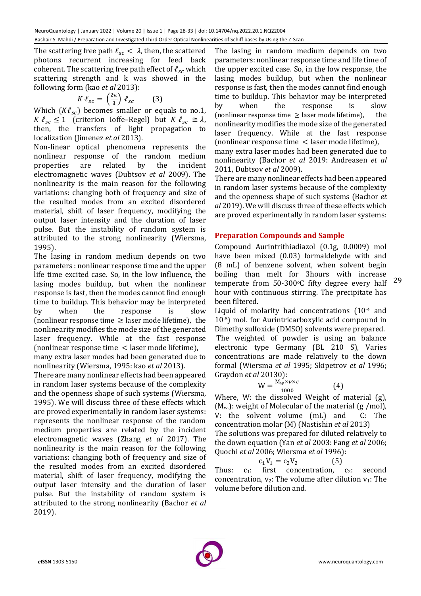The scattering free path  $\ell_{sc} < \lambda$ , then, the scattered photons recurrent increasing for feed back coherent. The scattering free path effect of  $\ell_{sc}$  which scattering strength and k was showed in the following form (kao *et al* 2013):

$$
K \,\ell_{sc} = \left(\frac{2\pi}{\lambda}\right) \,\ell_{sc} \qquad (3)
$$

Which  $(K\ell_{sc})$  becomes smaller or equals to no.1,  $K \ell_{sc} \leq 1$  (criterion Ioffe–Regel) but  $K \ell_{sc} \cong \lambda$ , then, the transfers of light propagation to localization (Jimenez *et al* 2013).

Non-linear optical phenomena represents the nonlinear response of the random medium properties are related by the incident electromagnetic waves (Dubtsov *et al* 2009). The nonlinearity is the main reason for the following variations: changing both of frequency and size of the resulted modes from an excited disordered material, shift of laser frequency, modifying the output laser intensity and the duration of laser pulse. But the instability of random system is attributed to the strong nonlinearity (Wiersma, 1995).

The lasing in random medium depends on two parameters : nonlinear response time and the upper life time excited case. So, in the low influence, the lasing modes buildup, but when the nonlinear response is fast, then the modes cannot find enough time to buildup. This behavior may be interpreted by when the response is slow (nonlinear response time  $\geq$  laser mode lifetime), the nonlinearity modifies the mode size of the generated laser frequency. While at the fast response (nonlinear response time < laser mode lifetime),

many extra laser modes had been generated due to nonlinearity (Wiersma, 1995: kao *et al* 2013).

There are many nonlinear effects had been appeared in random laser systems because of the complexity and the openness shape of such systems (Wiersma, 1995). We will discuss three of these effects which are proved experimentally in random laser systems: represents the nonlinear response of the random medium properties are related by the incident electromagnetic waves (Zhang *et al* 2017). The nonlinearity is the main reason for the following variations: changing both of frequency and size of the resulted modes from an excited disordered material, shift of laser frequency, modifying the output laser intensity and the duration of laser pulse. But the instability of random system is attributed to the strong nonlinearity (Bachor *et al* 2019).

The lasing in random medium depends on two parameters: nonlinear response time and life time of the upper excited case. So, in the low response, the lasing modes buildup, but when the nonlinear response is fast, then the modes cannot find enough time to buildup. This behavior may be interpreted by when the response is slow (nonlinear response time  $\geq$  laser mode lifetime), the nonlinearity modifies the mode size of the generated laser frequency. While at the fast response (nonlinear response time < laser mode lifetime),

many extra laser modes had been generated due to nonlinearity (Bachor *et al* 2019: Andreasen *et al* 2011, Dubtsov *et al* 2009).

There are many nonlinear effects had been appeared in random laser systems because of the complexity and the openness shape of such systems (Bachor *et al* 2019). We will discuss three of these effects which are proved experimentally in random laser systems:

# **Preparation Compounds and Sample**

Compound Aurintrithiadiazol (0.1g, 0.0009) mol have been mixed (0.03) formaldehyde with and (8 mL) of benzene solvent, when solvent begin boiling than melt for 3hours with increase temperate from  $50-300$ °C fifty degree every half hour with continuous stirring. The precipitate has been filtered.

Liquid of molarity had concentrations (10-4 and 10-5) mol. for Aurintricarboxylic acid compound in Dimethy sulfoxide (DMSO) solvents were prepared. The weighted of powder is using an balance electronic type Germany (BL 210 S), Varies concentrations are made relatively to the down formal (Wiersma *et al* 1995; Skipetrov *et al* 1996; Graydon *et al* 20130):

$$
W = \frac{M_w \times v \times c}{1000}
$$
 (4)

Where, W: the dissolved Weight of material (g),  $(M_w)$ : weight of Molecular of the material (g /mol), V: the solvent volume (mL) and C: The concentration molar (M) (Nastishin *et al* 2013) The solutions was prepared for diluted relatively to the down equation (Yan *et al* 2003: Fang *et al* 2006; Quochi *et al* 2006; Wiersma *et al* 1996):

$$
c_1V_1 = c_2V_2 \tag{5}
$$

Thus:  $c_1$ : first concentration,  $c_2$ : second concentration,  $v_2$ : The volume after dilution  $v_1$ : The volume before dilution and.

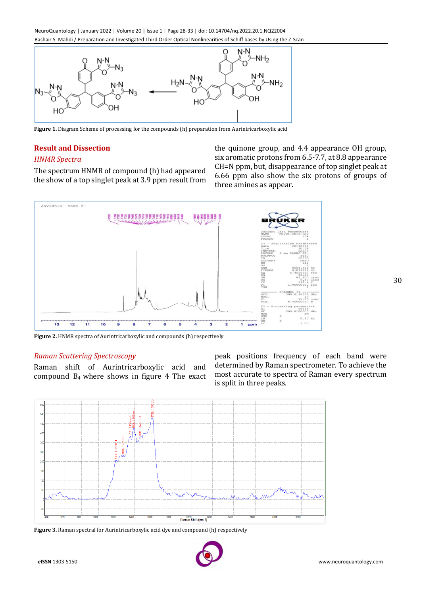NeuroQuantology | January 2022 | Volume 20 | Issue 1 | Page 28-33 | doi: 10.14704/nq.2022.20.1.NQ22004 Bashair S. Mahdi / Preparation and Investigated Third Order Optical Nonlinearities of Schiff bases by Using the Z-Scan



**Figure 1.** Diagram Scheme of processing for the compounds (h) preparation from Aurintricarboxylic acid

#### **Result and Dissection**

## *HNMR Spectra*

The spectrum HNMR of compound (h) had appeared the show of a top singlet peak at 3.9 ppm result from the quinone group, and 4.4 appearance OH group, six aromatic protons from 6.5-7.7, at 8.8 appearance CH=N ppm, but, disappearance of top singlet peak at 6.66 ppm also show the six protons of groups of three amines as appear.



**Figure 2.** HNMR spectra of Aurintricarboxylic and compounds (h) respectively

#### *Raman Scattering Spectroscopy*

Raman shift of Aurintricarboxylic acid and compound B4 where shows in figure 4 The exact peak positions frequency of each band were determined by Raman spectrometer. To achieve the most accurate to spectra of Raman every spectrum is split in three peaks.



**Figure 3.** Raman spectral for Aurintricarboxylic acid dye and compound (h) respectively

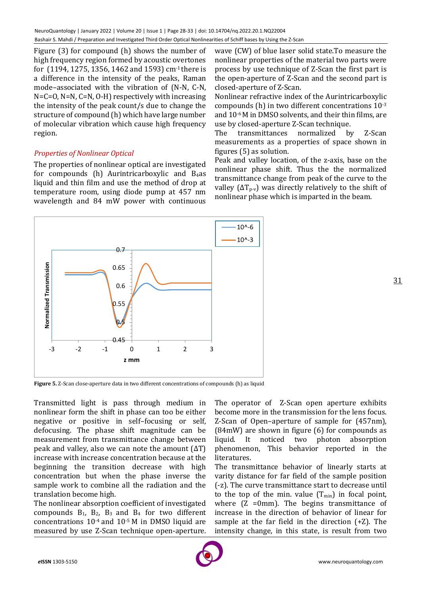Figure (3) for compound (h) shows the number of high frequency region formed by acoustic overtones for (1194, 1275, 1356, 1462 and 1593) cm-1 there is a difference in the intensity of the peaks, Raman mode–associated with the vibration of (N-N, C-N, N=C=O, N=N, C=N, O-H) respectively with increasing the intensity of the peak count/s due to change the structure of compound (h) which have large number of molecular vibration which cause high frequency region.

# *Properties of Nonlinear Optical*

The properties of nonlinear optical are investigated for compounds (h) Aurintricarboxylic and B4as liquid and thin film and use the method of drop at temperature room, using diode pump at 457 nm wavelength and 84 mW power with continuous

wave (CW) of blue laser solid state.To measure the nonlinear properties of the material two parts were process by use technique of Z-Scan the first part is the open-aperture of Z-Scan and the second part is closed-aperture of Z-Scan.

Nonlinear refractive index of the Aurintricarboxylic compounds (h) in two different concentrations 10-3 and 10-6 M in DMSO solvents, and their thin films, are use by closed-aperture Z-Scan technique.

The transmittances normalized by Z-Scan measurements as a properties of space shown in figures (5) as solution.

Peak and valley location, of the z-axis, base on the nonlinear phase shift. Thus the the normalized transmittance change from peak of the curve to the valley ( $\Delta T_{p-v}$ ) was directly relatively to the shift of nonlinear phase which is imparted in the beam.



31

**Figure 5.** Z-Scan close-aperture data in two different concentrations of compounds (h) as liquid

Transmitted light is pass through medium in nonlinear form the shift in phase can too be either negative or positive in self–focusing or self, defocusing. The phase shift magnitude can be measurement from transmittance change between peak and valley, also we can note the amount  $(ΔT)$ increase with increase concentration because at the beginning the transition decrease with high concentration but when the phase inverse the sample work to combine all the radiation and the translation become high.

The nonlinear absorption coefficient of investigated compounds  $B_1$ ,  $B_2$ ,  $B_3$  and  $B_4$  for two different concentrations 10-4 and 10-5 M in DMSO liquid are measured by use Z-Scan technique open-aperture. The operator of Z-Scan open aperture exhibits become more in the transmission for the lens focus. Z-Scan of Open–aperture of sample for (457nm), (84mW) are shown in figure (6) for compounds as liquid. It noticed two photon absorption phenomenon, This behavior reported in the literatures.

The transmittance behavior of linearly starts at varity distance for far field of the sample position (-z). The curve transmittance start to decrease until to the top of the min. value  $(T_{min})$  in focal point, where  $(Z = 0m)$ . The begins transmittance of increase in the direction of behavior of linear for sample at the far field in the direction (+Z). The intensity change, in this state, is result from two

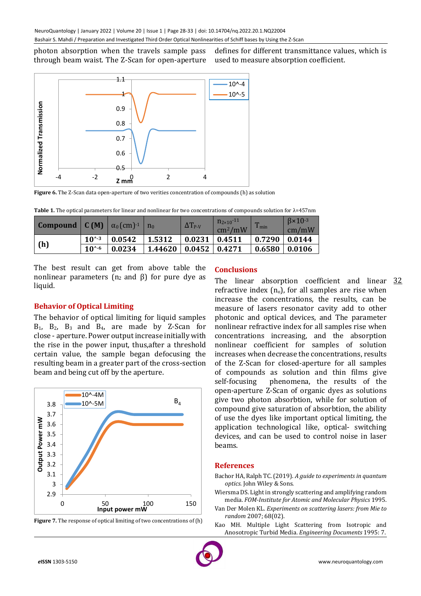photon absorption when the travels sample pass through beam waist. The Z-Scan for open-aperture defines for different transmittance values, which is used to measure absorption coefficient.



**Figure 6.** The Z-Scan data open-aperture of two verities concentration of compounds (h) as solution

|  |  | Table 1. The optical parameters for linear and nonlinear for two concentrations of compounds solution for $\lambda$ =457nm |  |  |
|--|--|----------------------------------------------------------------------------------------------------------------------------|--|--|
|--|--|----------------------------------------------------------------------------------------------------------------------------|--|--|

| <b>Compound</b> $\mathbf{C}(\mathbf{M}) \mid \alpha_0(\text{cm})^{-1}$ |          |        | $n_0$   | $\Delta T_{P-V}$              | $n_{2\times10}$ <sup>-11</sup><br>$\text{cm}^2/\text{mW}$ | m<br>$1 \text{ min}$ | $\beta \times 10^{-3}$<br>cm/mW |
|------------------------------------------------------------------------|----------|--------|---------|-------------------------------|-----------------------------------------------------------|----------------------|---------------------------------|
|                                                                        | $10^{4}$ | 0.0542 | 1.5312  | $\vert$ 0.0231 $\vert$ 0.4511 |                                                           | $\frac{1}{2}$ 0.7290 | 0.0144                          |
| (h)                                                                    | $10^{6}$ | 0.0234 | 1.44620 | 0.0452 0.4271                 |                                                           | 0.6580               | 0.0106                          |

The best result can get from above table the nonlinear parameters ( $n_2$  and β) for pure dye as liquid.

## **Behavior of Optical Limiting**

The behavior of optical limiting for liquid samples  $B_1$ ,  $B_2$ ,  $B_3$  and  $B_4$ , are made by Z-Scan for close - aperture. Power output increase initially with the rise in the power input, thus,after a threshold certain value, the sample began defocusing the resulting beam in a greater part of the cross-section beam and being cut off by the aperture.



**Figure 7.** The response of optical limiting of two concentrations of (h)

#### **Conclusions**

The linear absorption coefficient and linear 32 refractive index  $(n_0)$ , for all samples are rise when increase the concentrations, the results, can be measure of lasers resonator cavity add to other photonic and optical devices, and The parameter nonlinear refractive index for all samples rise when concentrations increasing, and the absorption nonlinear coefficient for samples of solution increases when decrease the concentrations, results of the Z-Scan for closed-aperture for all samples of compounds as solution and thin films give self-focusing phenomena, the results of the open-aperture Z-Scan of organic dyes as solutions give two photon absorbtion, while for solution of compound give saturation of absorbtion, the ability of use the dyes like important optical limiting, the application technological like, optical- switching devices, and can be used to control noise in laser beams.

### **References**

Bachor HA, Ralph TC. (2019). *A guide to experiments in quantum optics.* John Wiley & Sons.

Wiersma DS. Light in strongly scattering and amplifying random media. *FOM-Institute for Atomic and Molecular Physics* 1995.

- Van Der Molen KL. *Experiments on scattering lasers: from Mie to random* 2007; 68(02).
- Kao MH. Multiple Light Scattering from Isotropic and Anosotropic Turbid Media. *Engineering Documents* 1995: 7.